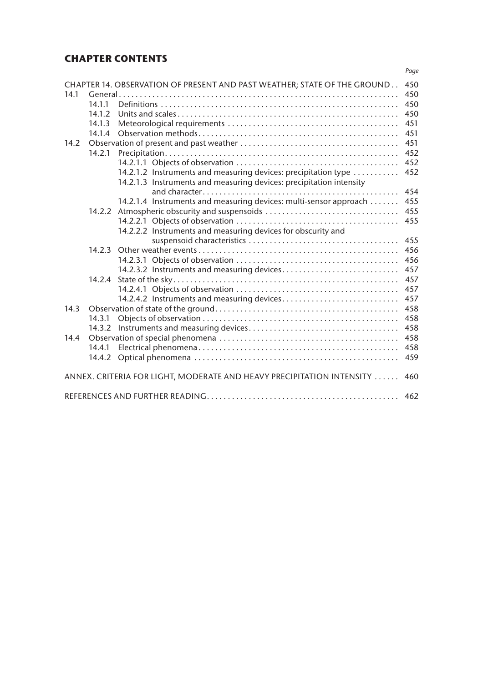# **CHAPTER CONTENTS**

|                                                                                 |                |                                                                     | Page       |  |  |
|---------------------------------------------------------------------------------|----------------|---------------------------------------------------------------------|------------|--|--|
| CHAPTER 14. OBSERVATION OF PRESENT AND PAST WEATHER; STATE OF THE GROUND<br>450 |                |                                                                     |            |  |  |
| 14.1                                                                            | 450<br>General |                                                                     |            |  |  |
|                                                                                 | 14.1.1         |                                                                     | 450        |  |  |
|                                                                                 | 14.1.2         |                                                                     | 450        |  |  |
|                                                                                 | 14.1.3         |                                                                     | 451        |  |  |
|                                                                                 | 14.1.4         |                                                                     | 451        |  |  |
| 14.2                                                                            |                |                                                                     | 451        |  |  |
|                                                                                 | 14.2.1         |                                                                     | 452        |  |  |
|                                                                                 |                |                                                                     | 452        |  |  |
|                                                                                 |                | 14.2.1.2 Instruments and measuring devices: precipitation type      | 452        |  |  |
|                                                                                 |                | 14.2.1.3 Instruments and measuring devices: precipitation intensity |            |  |  |
|                                                                                 |                |                                                                     | 454        |  |  |
|                                                                                 |                | 14.2.1.4 Instruments and measuring devices: multi-sensor approach   | 455        |  |  |
|                                                                                 |                | 14.2.2 Atmospheric obscurity and suspensoids                        | 455        |  |  |
|                                                                                 |                |                                                                     | 455        |  |  |
|                                                                                 |                | 14.2.2.2 Instruments and measuring devices for obscurity and        |            |  |  |
|                                                                                 |                |                                                                     | 455        |  |  |
|                                                                                 |                |                                                                     | 456        |  |  |
|                                                                                 |                |                                                                     | 456        |  |  |
|                                                                                 |                |                                                                     | 457        |  |  |
|                                                                                 |                | 14.2.3.2 Instruments and measuring devices                          | 457        |  |  |
|                                                                                 | 14.2.4         |                                                                     |            |  |  |
|                                                                                 |                |                                                                     | 457<br>457 |  |  |
|                                                                                 |                | 14.2.4.2 Instruments and measuring devices                          |            |  |  |
| 14.3                                                                            |                |                                                                     | 458        |  |  |
|                                                                                 | 14.3.1         |                                                                     | 458        |  |  |
|                                                                                 |                |                                                                     | 458        |  |  |
| 14.4                                                                            |                |                                                                     | 458        |  |  |
|                                                                                 | 14.4.1         |                                                                     | 458        |  |  |
|                                                                                 | 14.4.2         |                                                                     | 459        |  |  |
| ANNEX. CRITERIA FOR LIGHT, MODERATE AND HEAVY PRECIPITATION INTENSITY<br>460    |                |                                                                     |            |  |  |
| 462                                                                             |                |                                                                     |            |  |  |
|                                                                                 |                |                                                                     |            |  |  |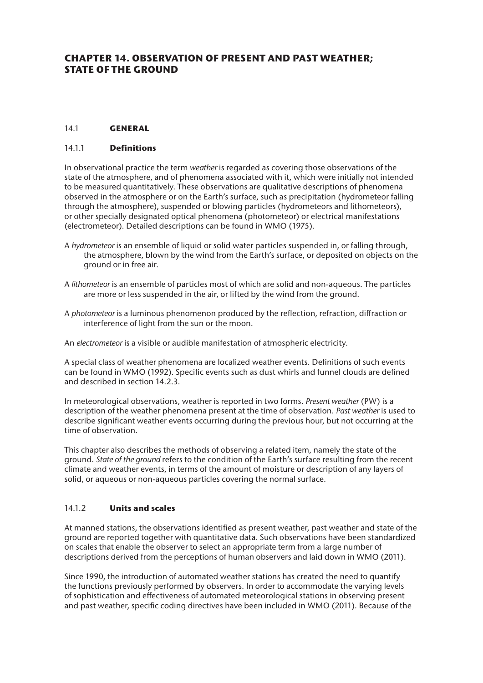# **CHAPTER 14. OBSERVATION OF PRESENT AND PAST WEATHER; STATE OF THE GROUND**

# 14.1 **GENERAL**

## 14.1.1 **Definitions**

In observational practice the term *weather* is regarded as covering those observations of the state of the atmosphere, and of phenomena associated with it, which were initially not intended to be measured quantitatively. These observations are qualitative descriptions of phenomena observed in the atmosphere or on the Earth's surface, such as precipitation (hydrometeor falling through the atmosphere), suspended or blowing particles (hydrometeors and lithometeors), or other specially designated optical phenomena (photometeor) or electrical manifestations (electrometeor). Detailed descriptions can be found in WMO (1975).

- A *hydrometeor* is an ensemble of liquid or solid water particles suspended in, or falling through, the atmosphere, blown by the wind from the Earth's surface, or deposited on objects on the ground or in free air.
- A *lithometeor* is an ensemble of particles most of which are solid and non-aqueous. The particles are more or less suspended in the air, or lifted by the wind from the ground.
- A *photometeor* is a luminous phenomenon produced by the reflection, refraction, diffraction or interference of light from the sun or the moon.

An *electrometeor* is a visible or audible manifestation of atmospheric electricity.

A special class of weather phenomena are localized weather events. Definitions of such events can be found in WMO (1992). Specific events such as dust whirls and funnel clouds are defined and described in section 14.2.3.

In meteorological observations, weather is reported in two forms. *Present weather* (PW) is a description of the weather phenomena present at the time of observation. *Past weather* is used to describe significant weather events occurring during the previous hour, but not occurring at the time of observation.

This chapter also describes the methods of observing a related item, namely the state of the ground. *State of the ground* refers to the condition of the Earth's surface resulting from the recent climate and weather events, in terms of the amount of moisture or description of any layers of solid, or aqueous or non-aqueous particles covering the normal surface.

### 14.1.2 **Units and scales**

At manned stations, the observations identified as present weather, past weather and state of the ground are reported together with quantitative data. Such observations have been standardized on scales that enable the observer to select an appropriate term from a large number of descriptions derived from the perceptions of human observers and laid down in WMO (2011).

Since 1990, the introduction of automated weather stations has created the need to quantify the functions previously performed by observers. In order to accommodate the varying levels of sophistication and effectiveness of automated meteorological stations in observing present and past weather, specific coding directives have been included in WMO (2011). Because of the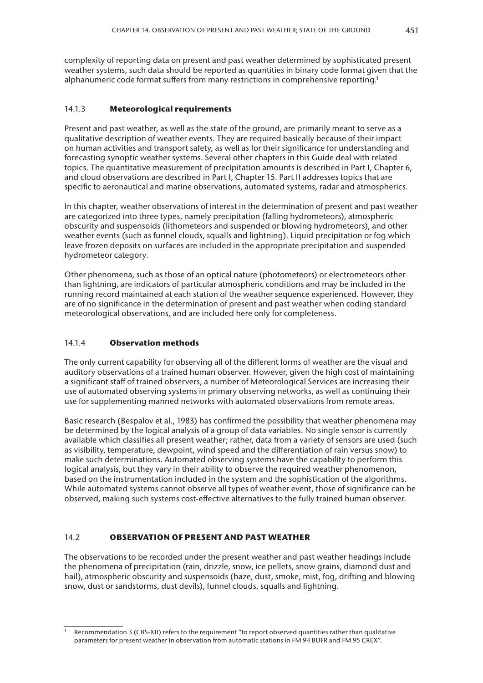complexity of reporting data on present and past weather determined by sophisticated present weather systems, such data should be reported as quantities in binary code format given that the alphanumeric code format suffers from many restrictions in comprehensive reporting.<sup>1</sup>

#### 14.1.3 **Meteorological requirements**

Present and past weather, as well as the state of the ground, are primarily meant to serve as a qualitative description of weather events. They are required basically because of their impact on human activities and transport safety, as well as for their significance for understanding and forecasting synoptic weather systems. Several other chapters in this Guide deal with related topics. The quantitative measurement of precipitation amounts is described in Part I, Chapter 6, and cloud observations are described in Part I, Chapter 15. Part II addresses topics that are specific to aeronautical and marine observations, automated systems, radar and atmospherics.

In this chapter, weather observations of interest in the determination of present and past weather are categorized into three types, namely precipitation (falling hydrometeors), atmospheric obscurity and suspensoids (lithometeors and suspended or blowing hydrometeors), and other weather events (such as funnel clouds, squalls and lightning). Liquid precipitation or fog which leave frozen deposits on surfaces are included in the appropriate precipitation and suspended hydrometeor category.

Other phenomena, such as those of an optical nature (photometeors) or electrometeors other than lightning, are indicators of particular atmospheric conditions and may be included in the running record maintained at each station of the weather sequence experienced. However, they are of no significance in the determination of present and past weather when coding standard meteorological observations, and are included here only for completeness.

#### 14.1.4 **Observation methods**

The only current capability for observing all of the different forms of weather are the visual and auditory observations of a trained human observer. However, given the high cost of maintaining a significant staff of trained observers, a number of Meteorological Services are increasing their use of automated observing systems in primary observing networks, as well as continuing their use for supplementing manned networks with automated observations from remote areas.

Basic research (Bespalov et al., 1983) has confirmed the possibility that weather phenomena may be determined by the logical analysis of a group of data variables. No single sensor is currently available which classifies all present weather; rather, data from a variety of sensors are used (such as visibility, temperature, dewpoint, wind speed and the differentiation of rain versus snow) to make such determinations. Automated observing systems have the capability to perform this logical analysis, but they vary in their ability to observe the required weather phenomenon, based on the instrumentation included in the system and the sophistication of the algorithms. While automated systems cannot observe all types of weather event, those of significance can be observed, making such systems cost-effective alternatives to the fully trained human observer.

### 14.2 **OBSERVATION OF PRESENT AND PAST WEATHER**

The observations to be recorded under the present weather and past weather headings include the phenomena of precipitation (rain, drizzle, snow, ice pellets, snow grains, diamond dust and hail), atmospheric obscurity and suspensoids (haze, dust, smoke, mist, fog, drifting and blowing snow, dust or sandstorms, dust devils), funnel clouds, squalls and lightning.

Recommendation 3 (CBS-XII) refers to the requirement "to report observed quantities rather than qualitative parameters for present weather in observation from automatic stations in FM 94 BUFR and FM 95 CREX".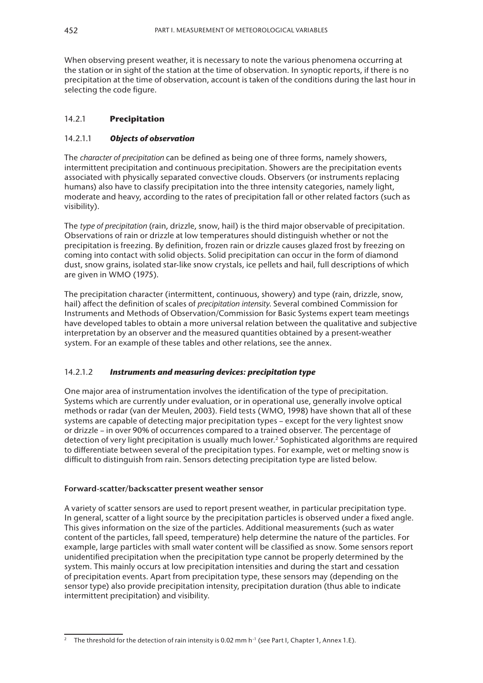When observing present weather, it is necessary to note the various phenomena occurring at the station or in sight of the station at the time of observation. In synoptic reports, if there is no precipitation at the time of observation, account is taken of the conditions during the last hour in selecting the code figure.

# 14.2.1 **Precipitation**

# 14.2.1.1 *Objects of observation*

The *character of precipitation* can be defined as being one of three forms, namely showers, intermittent precipitation and continuous precipitation. Showers are the precipitation events associated with physically separated convective clouds. Observers (or instruments replacing humans) also have to classify precipitation into the three intensity categories, namely light, moderate and heavy, according to the rates of precipitation fall or other related factors (such as visibility).

The *type of precipitation* (rain, drizzle, snow, hail) is the third major observable of precipitation. Observations of rain or drizzle at low temperatures should distinguish whether or not the precipitation is freezing. By definition, frozen rain or drizzle causes glazed frost by freezing on coming into contact with solid objects. Solid precipitation can occur in the form of diamond dust, snow grains, isolated star-like snow crystals, ice pellets and hail, full descriptions of which are given in WMO (1975).

The precipitation character (intermittent, continuous, showery) and type (rain, drizzle, snow, hail) affect the definition of scales of *precipitation intensity*. Several combined Commission for Instruments and Methods of Observation/Commission for Basic Systems expert team meetings have developed tables to obtain a more universal relation between the qualitative and subjective interpretation by an observer and the measured quantities obtained by a present-weather system. For an example of these tables and other relations, see the annex.

# 14.2.1.2 *Instruments and measuring devices: precipitation type*

One major area of instrumentation involves the identification of the type of precipitation. Systems which are currently under evaluation, or in operational use, generally involve optical methods or radar (van der Meulen, 2003). Field tests (WMO, 1998) have shown that all of these systems are capable of detecting major precipitation types – except for the very lightest snow or drizzle – in over 90% of occurrences compared to a trained observer. The percentage of detection of very light precipitation is usually much lower.<sup>2</sup> Sophisticated algorithms are required to differentiate between several of the precipitation types. For example, wet or melting snow is difficult to distinguish from rain. Sensors detecting precipitation type are listed below.

### **Forward-scatter/backscatter present weather sensor**

A variety of scatter sensors are used to report present weather, in particular precipitation type. In general, scatter of a light source by the precipitation particles is observed under a fixed angle. This gives information on the size of the particles. Additional measurements (such as water content of the particles, fall speed, temperature) help determine the nature of the particles. For example, large particles with small water content will be classified as snow. Some sensors report unidentified precipitation when the precipitation type cannot be properly determined by the system. This mainly occurs at low precipitation intensities and during the start and cessation of precipitation events. Apart from precipitation type, these sensors may (depending on the sensor type) also provide precipitation intensity, precipitation duration (thus able to indicate intermittent precipitation) and visibility.

<sup>&</sup>lt;sup>2</sup> The threshold for the detection of rain intensity is 0.02 mm h<sup>-1</sup> (see Part I, Chapter 1, Annex 1.E).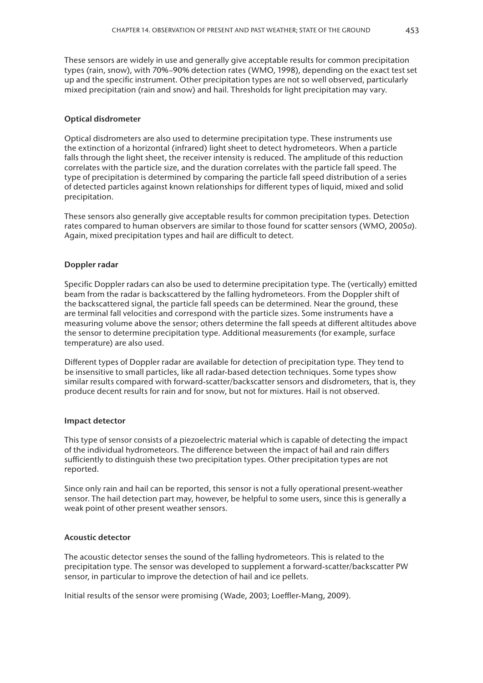These sensors are widely in use and generally give acceptable results for common precipitation types (rain, snow), with 70%–90% detection rates (WMO, 1998), depending on the exact test set up and the specific instrument. Other precipitation types are not so well observed, particularly mixed precipitation (rain and snow) and hail. Thresholds for light precipitation may vary.

#### **Optical disdrometer**

Optical disdrometers are also used to determine precipitation type. These instruments use the extinction of a horizontal (infrared) light sheet to detect hydrometeors. When a particle falls through the light sheet, the receiver intensity is reduced. The amplitude of this reduction correlates with the particle size, and the duration correlates with the particle fall speed. The type of precipitation is determined by comparing the particle fall speed distribution of a series of detected particles against known relationships for different types of liquid, mixed and solid precipitation.

These sensors also generally give acceptable results for common precipitation types. Detection rates compared to human observers are similar to those found for scatter sensors (WMO, 2005*a*). Again, mixed precipitation types and hail are difficult to detect.

#### **Doppler radar**

Specific Doppler radars can also be used to determine precipitation type. The (vertically) emitted beam from the radar is backscattered by the falling hydrometeors. From the Doppler shift of the backscattered signal, the particle fall speeds can be determined. Near the ground, these are terminal fall velocities and correspond with the particle sizes. Some instruments have a measuring volume above the sensor; others determine the fall speeds at different altitudes above the sensor to determine precipitation type. Additional measurements (for example, surface temperature) are also used.

Different types of Doppler radar are available for detection of precipitation type. They tend to be insensitive to small particles, like all radar-based detection techniques. Some types show similar results compared with forward-scatter/backscatter sensors and disdrometers, that is, they produce decent results for rain and for snow, but not for mixtures. Hail is not observed.

#### **Impact detector**

This type of sensor consists of a piezoelectric material which is capable of detecting the impact of the individual hydrometeors. The difference between the impact of hail and rain differs sufficiently to distinguish these two precipitation types. Other precipitation types are not reported.

Since only rain and hail can be reported, this sensor is not a fully operational present-weather sensor. The hail detection part may, however, be helpful to some users, since this is generally a weak point of other present weather sensors.

#### **Acoustic detector**

The acoustic detector senses the sound of the falling hydrometeors. This is related to the precipitation type. The sensor was developed to supplement a forward-scatter/backscatter PW sensor, in particular to improve the detection of hail and ice pellets.

Initial results of the sensor were promising (Wade, 2003; Loeffler-Mang, 2009).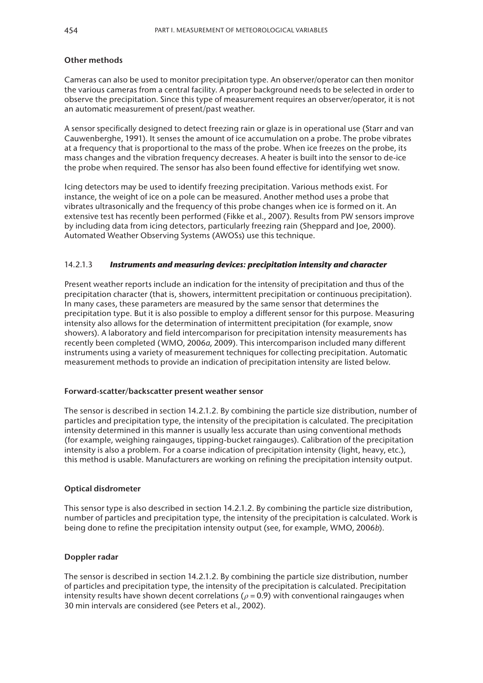#### **Other methods**

Cameras can also be used to monitor precipitation type. An observer/operator can then monitor the various cameras from a central facility. A proper background needs to be selected in order to observe the precipitation. Since this type of measurement requires an observer/operator, it is not an automatic measurement of present/past weather.

A sensor specifically designed to detect freezing rain or glaze is in operational use (Starr and van Cauwenberghe, 1991). It senses the amount of ice accumulation on a probe. The probe vibrates at a frequency that is proportional to the mass of the probe. When ice freezes on the probe, its mass changes and the vibration frequency decreases. A heater is built into the sensor to de-ice the probe when required. The sensor has also been found effective for identifying wet snow.

Icing detectors may be used to identify freezing precipitation. Various methods exist. For instance, the weight of ice on a pole can be measured. Another method uses a probe that vibrates ultrasonically and the frequency of this probe changes when ice is formed on it. An extensive test has recently been performed (Fikke et al., 2007). Results from PW sensors improve by including data from icing detectors, particularly freezing rain (Sheppard and Joe, 2000). Automated Weather Observing Systems (AWOSs) use this technique.

#### 14.2.1.3 *Instruments and measuring devices: precipitation intensity and character*

Present weather reports include an indication for the intensity of precipitation and thus of the precipitation character (that is, showers, intermittent precipitation or continuous precipitation). In many cases, these parameters are measured by the same sensor that determines the precipitation type. But it is also possible to employ a different sensor for this purpose. Measuring intensity also allows for the determination of intermittent precipitation (for example, snow showers). A laboratory and field intercomparison for precipitation intensity measurements has recently been completed (WMO, 2006*a*, 2009). This intercomparison included many different instruments using a variety of measurement techniques for collecting precipitation. Automatic measurement methods to provide an indication of precipitation intensity are listed below.

#### **Forward-scatter/backscatter present weather sensor**

The sensor is described in section 14.2.1.2. By combining the particle size distribution, number of particles and precipitation type, the intensity of the precipitation is calculated. The precipitation intensity determined in this manner is usually less accurate than using conventional methods (for example, weighing raingauges, tipping-bucket raingauges). Calibration of the precipitation intensity is also a problem. For a coarse indication of precipitation intensity (light, heavy, etc.), this method is usable. Manufacturers are working on refining the precipitation intensity output.

#### **Optical disdrometer**

This sensor type is also described in section 14.2.1.2. By combining the particle size distribution, number of particles and precipitation type, the intensity of the precipitation is calculated. Work is being done to refine the precipitation intensity output (see, for example, WMO, 2006*b*).

#### **Doppler radar**

The sensor is described in section 14.2.1.2. By combining the particle size distribution, number of particles and precipitation type, the intensity of the precipitation is calculated. Precipitation intensity results have shown decent correlations ( $\rho = 0.9$ ) with conventional raingauges when 30 min intervals are considered (see Peters et al., 2002).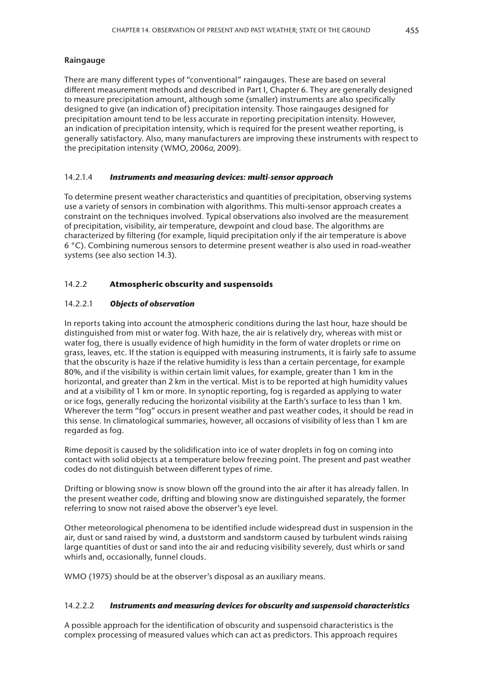# **Raingauge**

There are many different types of "conventional" raingauges. These are based on several different measurement methods and described in Part I, Chapter 6. They are generally designed to measure precipitation amount, although some (smaller) instruments are also specifically designed to give (an indication of) precipitation intensity. Those raingauges designed for precipitation amount tend to be less accurate in reporting precipitation intensity. However, an indication of precipitation intensity, which is required for the present weather reporting, is generally satisfactory. Also, many manufacturers are improving these instruments with respect to the precipitation intensity (WMO, 2006*a*, 2009).

# 14.2.1.4 *Instruments and measuring devices: multi-sensor approach*

To determine present weather characteristics and quantities of precipitation, observing systems use a variety of sensors in combination with algorithms. This multi-sensor approach creates a constraint on the techniques involved. Typical observations also involved are the measurement of precipitation, visibility, air temperature, dewpoint and cloud base. The algorithms are characterized by filtering (for example, liquid precipitation only if the air temperature is above 6 °C). Combining numerous sensors to determine present weather is also used in road-weather systems (see also section 14.3).

# 14.2.2 **Atmospheric obscurity and suspensoids**

# 14.2.2.1 *Objects of observation*

In reports taking into account the atmospheric conditions during the last hour, haze should be distinguished from mist or water fog. With haze, the air is relatively dry, whereas with mist or water fog, there is usually evidence of high humidity in the form of water droplets or rime on grass, leaves, etc. If the station is equipped with measuring instruments, it is fairly safe to assume that the obscurity is haze if the relative humidity is less than a certain percentage, for example 80%, and if the visibility is within certain limit values, for example, greater than 1 km in the horizontal, and greater than 2 km in the vertical. Mist is to be reported at high humidity values and at a visibility of 1 km or more. In synoptic reporting, fog is regarded as applying to water or ice fogs, generally reducing the horizontal visibility at the Earth's surface to less than 1 km. Wherever the term "fog" occurs in present weather and past weather codes, it should be read in this sense. In climatological summaries, however, all occasions of visibility of less than 1 km are regarded as fog.

Rime deposit is caused by the solidification into ice of water droplets in fog on coming into contact with solid objects at a temperature below freezing point. The present and past weather codes do not distinguish between different types of rime.

Drifting or blowing snow is snow blown off the ground into the air after it has already fallen. In the present weather code, drifting and blowing snow are distinguished separately, the former referring to snow not raised above the observer's eye level.

Other meteorological phenomena to be identified include widespread dust in suspension in the air, dust or sand raised by wind, a duststorm and sandstorm caused by turbulent winds raising large quantities of dust or sand into the air and reducing visibility severely, dust whirls or sand whirls and, occasionally, funnel clouds.

WMO (1975) should be at the observer's disposal as an auxiliary means.

### 14.2.2.2 *Instruments and measuring devices for obscurity and suspensoid characteristics*

A possible approach for the identification of obscurity and suspensoid characteristics is the complex processing of measured values which can act as predictors. This approach requires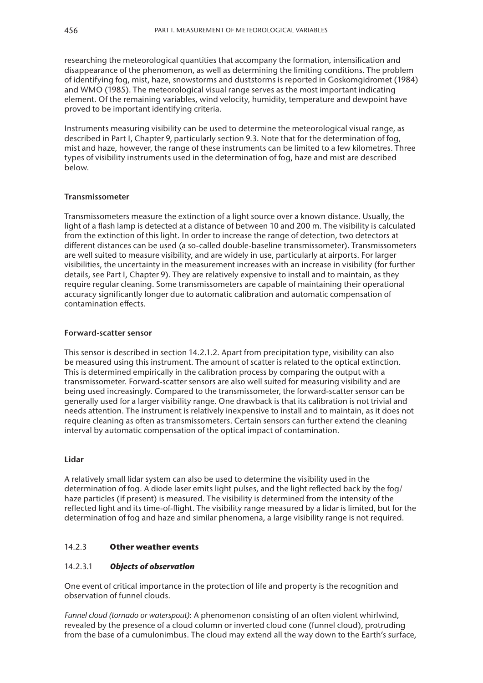researching the meteorological quantities that accompany the formation, intensification and disappearance of the phenomenon, as well as determining the limiting conditions. The problem of identifying fog, mist, haze, snowstorms and duststorms is reported in Goskomgidromet (1984) and WMO (1985). The meteorological visual range serves as the most important indicating element. Of the remaining variables, wind velocity, humidity, temperature and dewpoint have proved to be important identifying criteria.

Instruments measuring visibility can be used to determine the meteorological visual range, as described in Part I, Chapter 9, particularly section 9.3. Note that for the determination of fog, mist and haze, however, the range of these instruments can be limited to a few kilometres. Three types of visibility instruments used in the determination of fog, haze and mist are described below.

#### **Transmissometer**

Transmissometers measure the extinction of a light source over a known distance. Usually, the light of a flash lamp is detected at a distance of between 10 and 200 m. The visibility is calculated from the extinction of this light. In order to increase the range of detection, two detectors at different distances can be used (a so-called double-baseline transmissometer). Transmissometers are well suited to measure visibility, and are widely in use, particularly at airports. For larger visibilities, the uncertainty in the measurement increases with an increase in visibility (for further details, see Part I, Chapter 9). They are relatively expensive to install and to maintain, as they require regular cleaning. Some transmissometers are capable of maintaining their operational accuracy significantly longer due to automatic calibration and automatic compensation of contamination effects.

#### **Forward-scatter sensor**

This sensor is described in section 14.2.1.2. Apart from precipitation type, visibility can also be measured using this instrument. The amount of scatter is related to the optical extinction. This is determined empirically in the calibration process by comparing the output with a transmissometer. Forward-scatter sensors are also well suited for measuring visibility and are being used increasingly. Compared to the transmissometer, the forward-scatter sensor can be generally used for a larger visibility range. One drawback is that its calibration is not trivial and needs attention. The instrument is relatively inexpensive to install and to maintain, as it does not require cleaning as often as transmissometers. Certain sensors can further extend the cleaning interval by automatic compensation of the optical impact of contamination.

#### **Lidar**

A relatively small lidar system can also be used to determine the visibility used in the determination of fog. A diode laser emits light pulses, and the light reflected back by the fog/ haze particles (if present) is measured. The visibility is determined from the intensity of the reflected light and its time-of-flight. The visibility range measured by a lidar is limited, but for the determination of fog and haze and similar phenomena, a large visibility range is not required.

#### 14.2.3 **Other weather events**

#### 14.2.3.1 *Objects of observation*

One event of critical importance in the protection of life and property is the recognition and observation of funnel clouds.

*Funnel cloud (tornado or waterspout)*: A phenomenon consisting of an often violent whirlwind, revealed by the presence of a cloud column or inverted cloud cone (funnel cloud), protruding from the base of a cumulonimbus. The cloud may extend all the way down to the Earth's surface,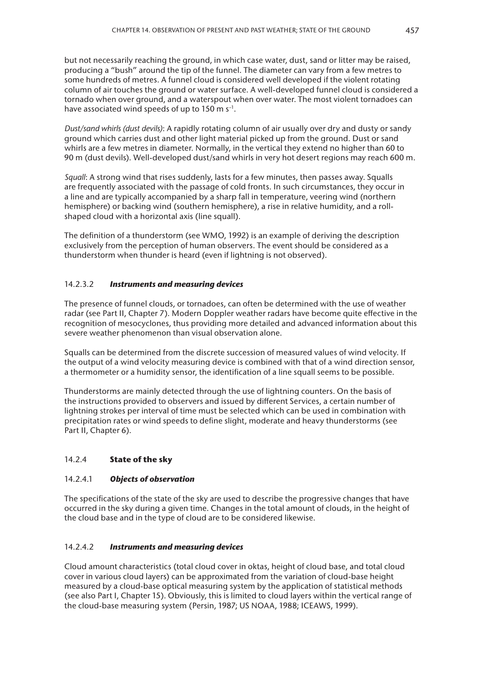but not necessarily reaching the ground, in which case water, dust, sand or litter may be raised, producing a "bush" around the tip of the funnel. The diameter can vary from a few metres to some hundreds of metres. A funnel cloud is considered well developed if the violent rotating column of air touches the ground or water surface. A well-developed funnel cloud is considered a tornado when over ground, and a waterspout when over water. The most violent tornadoes can have associated wind speeds of up to 150 m s<sup>-1</sup>.

*Dust/sand whirls (dust devils)*: A rapidly rotating column of air usually over dry and dusty or sandy ground which carries dust and other light material picked up from the ground. Dust or sand whirls are a few metres in diameter. Normally, in the vertical they extend no higher than 60 to 90 m (dust devils). Well-developed dust/sand whirls in very hot desert regions may reach 600 m.

*Squall*: A strong wind that rises suddenly, lasts for a few minutes, then passes away. Squalls are frequently associated with the passage of cold fronts. In such circumstances, they occur in a line and are typically accompanied by a sharp fall in temperature, veering wind (northern hemisphere) or backing wind (southern hemisphere), a rise in relative humidity, and a rollshaped cloud with a horizontal axis (line squall).

The definition of a thunderstorm (see WMO, 1992) is an example of deriving the description exclusively from the perception of human observers. The event should be considered as a thunderstorm when thunder is heard (even if lightning is not observed).

# 14.2.3.2 *Instruments and measuring devices*

The presence of funnel clouds, or tornadoes, can often be determined with the use of weather radar (see Part II, Chapter 7). Modern Doppler weather radars have become quite effective in the recognition of mesocyclones, thus providing more detailed and advanced information about this severe weather phenomenon than visual observation alone.

Squalls can be determined from the discrete succession of measured values of wind velocity. If the output of a wind velocity measuring device is combined with that of a wind direction sensor, a thermometer or a humidity sensor, the identification of a line squall seems to be possible.

Thunderstorms are mainly detected through the use of lightning counters. On the basis of the instructions provided to observers and issued by different Services, a certain number of lightning strokes per interval of time must be selected which can be used in combination with precipitation rates or wind speeds to define slight, moderate and heavy thunderstorms (see Part II, Chapter 6).

# 14.2.4 **State of the sky**

### 14.2.4.1 *Objects of observation*

The specifications of the state of the sky are used to describe the progressive changes that have occurred in the sky during a given time. Changes in the total amount of clouds, in the height of the cloud base and in the type of cloud are to be considered likewise.

# 14.2.4.2 *Instruments and measuring devices*

Cloud amount characteristics (total cloud cover in oktas, height of cloud base, and total cloud cover in various cloud layers) can be approximated from the variation of cloud-base height measured by a cloud-base optical measuring system by the application of statistical methods (see also Part I, Chapter 15). Obviously, this is limited to cloud layers within the vertical range of the cloud-base measuring system (Persin, 1987; US NOAA, 1988; ICEAWS, 1999).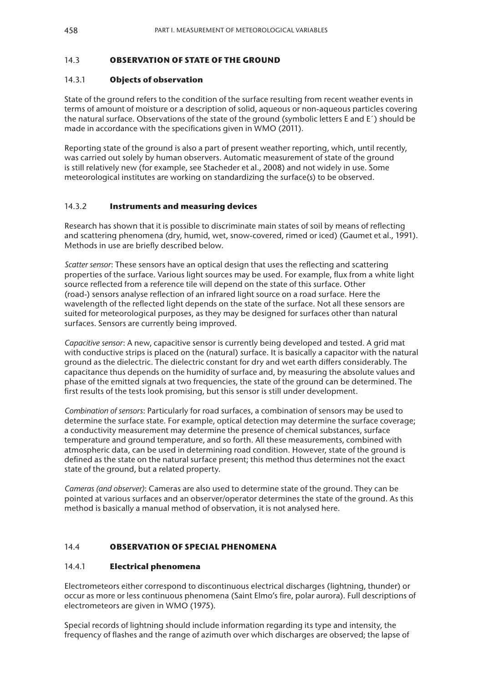#### 14.3 **OBSERVATION OF STATE OF THE GROUND**

#### 14.3.1 **Objects of observation**

State of the ground refers to the condition of the surface resulting from recent weather events in terms of amount of moisture or a description of solid, aqueous or non-aqueous particles covering the natural surface. Observations of the state of the ground (symbolic letters E and E´) should be made in accordance with the specifications given in WMO (2011).

Reporting state of the ground is also a part of present weather reporting, which, until recently, was carried out solely by human observers. Automatic measurement of state of the ground is still relatively new (for example, see Stacheder et al., 2008) and not widely in use. Some meteorological institutes are working on standardizing the surface(s) to be observed.

### 14.3.2 **Instruments and measuring devices**

Research has shown that it is possible to discriminate main states of soil by means of reflecting and scattering phenomena (dry, humid, wet, snow-covered, rimed or iced) (Gaumet et al., 1991). Methods in use are briefly described below.

*Scatter sensor*: These sensors have an optical design that uses the reflecting and scattering properties of the surface. Various light sources may be used. For example, flux from a white light source reflected from a reference tile will depend on the state of this surface. Other (road-) sensors analyse reflection of an infrared light source on a road surface. Here the wavelength of the reflected light depends on the state of the surface. Not all these sensors are suited for meteorological purposes, as they may be designed for surfaces other than natural surfaces. Sensors are currently being improved.

*Capacitive sensor*: A new, capacitive sensor is currently being developed and tested. A grid mat with conductive strips is placed on the (natural) surface. It is basically a capacitor with the natural ground as the dielectric. The dielectric constant for dry and wet earth differs considerably. The capacitance thus depends on the humidity of surface and, by measuring the absolute values and phase of the emitted signals at two frequencies, the state of the ground can be determined. The first results of the tests look promising, but this sensor is still under development.

*Combination of sensors*: Particularly for road surfaces, a combination of sensors may be used to determine the surface state. For example, optical detection may determine the surface coverage; a conductivity measurement may determine the presence of chemical substances, surface temperature and ground temperature, and so forth. All these measurements, combined with atmospheric data, can be used in determining road condition. However, state of the ground is defined as the state on the natural surface present; this method thus determines not the exact state of the ground, but a related property.

*Cameras (and observer)*: Cameras are also used to determine state of the ground. They can be pointed at various surfaces and an observer/operator determines the state of the ground. As this method is basically a manual method of observation, it is not analysed here.

### 14.4 **OBSERVATION OF SPECIAL PHENOMENA**

#### 14.4.1 **Electrical phenomena**

Electrometeors either correspond to discontinuous electrical discharges (lightning, thunder) or occur as more or less continuous phenomena (Saint Elmo's fire, polar aurora). Full descriptions of electrometeors are given in WMO (1975).

Special records of lightning should include information regarding its type and intensity, the frequency of flashes and the range of azimuth over which discharges are observed; the lapse of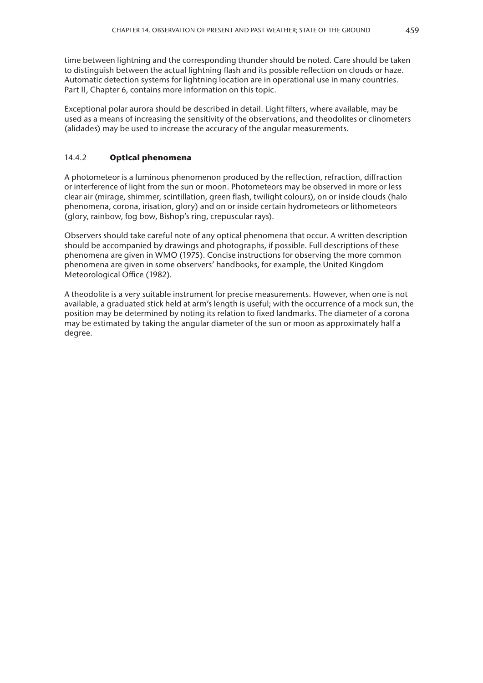time between lightning and the corresponding thunder should be noted. Care should be taken to distinguish between the actual lightning flash and its possible reflection on clouds or haze. Automatic detection systems for lightning location are in operational use in many countries. Part II, Chapter 6, contains more information on this topic.

Exceptional polar aurora should be described in detail. Light filters, where available, may be used as a means of increasing the sensitivity of the observations, and theodolites or clinometers (alidades) may be used to increase the accuracy of the angular measurements.

## 14.4.2 **Optical phenomena**

A photometeor is a luminous phenomenon produced by the reflection, refraction, diffraction or interference of light from the sun or moon. Photometeors may be observed in more or less clear air (mirage, shimmer, scintillation, green flash, twilight colours), on or inside clouds (halo phenomena, corona, irisation, glory) and on or inside certain hydrometeors or lithometeors (glory, rainbow, fog bow, Bishop's ring, crepuscular rays).

Observers should take careful note of any optical phenomena that occur. A written description should be accompanied by drawings and photographs, if possible. Full descriptions of these phenomena are given in WMO (1975). Concise instructions for observing the more common phenomena are given in some observers' handbooks, for example, the United Kingdom Meteorological Office (1982).

A theodolite is a very suitable instrument for precise measurements. However, when one is not available, a graduated stick held at arm's length is useful; with the occurrence of a mock sun, the position may be determined by noting its relation to fixed landmarks. The diameter of a corona may be estimated by taking the angular diameter of the sun or moon as approximately half a degree.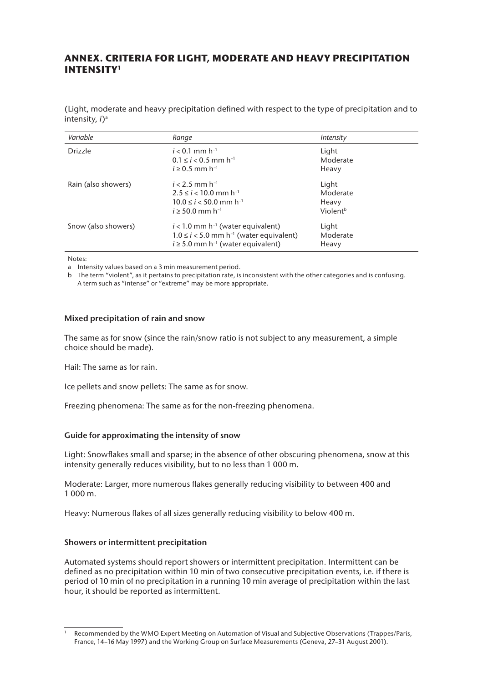# **ANNEX. CRITERIA FOR LIGHT, MODERATE AND HEAVY PRECIPITATION INTENSITY1**

(Light, moderate and heavy precipitation defined with respect to the type of precipitation and to intensity, *i*)<sup>a</sup>

| Variable            | Range                                                                                                                                                            | Intensity                                          |
|---------------------|------------------------------------------------------------------------------------------------------------------------------------------------------------------|----------------------------------------------------|
| Drizzle             | $i < 0.1$ mm h <sup>-1</sup><br>$0.1 \le i < 0.5$ mm h <sup>-1</sup><br>$i \ge 0.5$ mm h <sup>-1</sup>                                                           | Light<br>Moderate<br>Heavy                         |
| Rain (also showers) | $i < 2.5$ mm h <sup>-1</sup><br>$2.5 \le i < 10.0$ mm h <sup>-1</sup><br>$10.0 \le i < 50.0$ mm h <sup>-1</sup><br>$i > 50.0$ mm h <sup>-1</sup>                 | Light<br>Moderate<br>Heavy<br>Violent <sup>b</sup> |
| Snow (also showers) | $i$ < 1.0 mm h <sup>-1</sup> (water equivalent)<br>$1.0 \le i < 5.0$ mm h <sup>-1</sup> (water equivalent)<br>$i \geq 5.0$ mm h <sup>-1</sup> (water equivalent) | Light<br>Moderate<br>Heavy                         |

Notes:

a Intensity values based on a 3 min measurement period.

b The term "violent", as it pertains to precipitation rate, is inconsistent with the other categories and is confusing. A term such as "intense" or "extreme" may be more appropriate.

#### **Mixed precipitation of rain and snow**

The same as for snow (since the rain/snow ratio is not subject to any measurement, a simple choice should be made).

Hail: The same as for rain.

Ice pellets and snow pellets: The same as for snow.

Freezing phenomena: The same as for the non-freezing phenomena.

### **Guide for approximating the intensity of snow**

Light: Snowflakes small and sparse; in the absence of other obscuring phenomena, snow at this intensity generally reduces visibility, but to no less than 1 000 m.

Moderate: Larger, more numerous flakes generally reducing visibility to between 400 and 1 000 m.

Heavy: Numerous flakes of all sizes generally reducing visibility to below 400 m.

### **Showers or intermittent precipitation**

Automated systems should report showers or intermittent precipitation. Intermittent can be defined as no precipitation within 10 min of two consecutive precipitation events, i.e. if there is period of 10 min of no precipitation in a running 10 min average of precipitation within the last hour, it should be reported as intermittent.

Recommended by the WMO Expert Meeting on Automation of Visual and Subjective Observations (Trappes/Paris, France, 14–16 May 1997) and the Working Group on Surface Measurements (Geneva, 27–31 August 2001).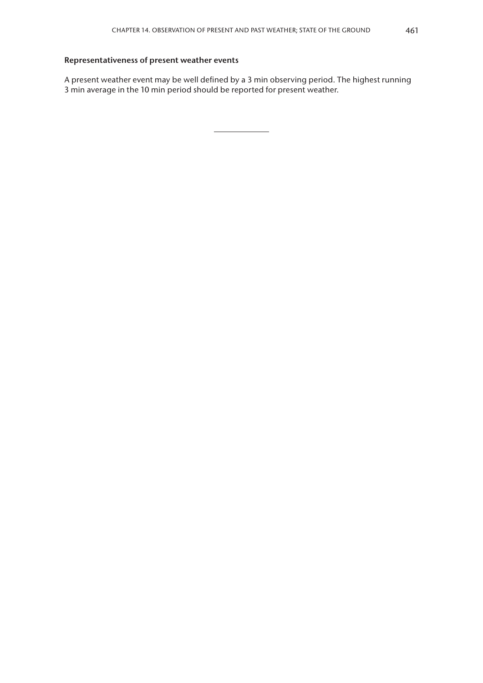#### **Representativeness of present weather events**

A present weather event may be well defined by a 3 min observing period. The highest running 3 min average in the 10 min period should be reported for present weather.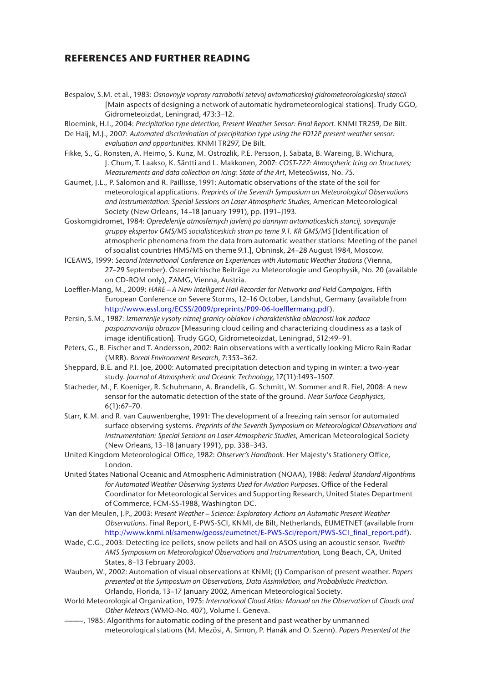# **REFERENCES AND FURTHER READING**

- Bespalov, S.M. et al., 1983: *Osnovnyje voprosy razrabotki setevoj avtomaticeskoj gidrometeorologiceskoj stancii* [Main aspects of designing a network of automatic hydrometeorological stations]. Trudy GGO, Gidrometeoizdat, Leningrad, 473:3–12.
- Bloemink, H.I., 2004: *Precipitation type detection, Present Weather Sensor: Final Report*. KNMI TR259, De Bilt.
- De Haij, M.J., 2007: *Automated discrimination of precipitation type using the FD12P present weather sensor: evaluation and opportunities*. KNMI TR297, De Bilt.
- Fikke, S., G. Ronsten, A. Heimo, S. Kunz, M. Ostrozlik, P.E. Persson, J. Sabata, B. Wareing, B. Wichura, J. Chum, T. Laakso, K. Säntti and L. Makkonen, 2007: *COST-727: Atmospheric Icing on Structures; Measurements and data collection on icing: State of the Art*, MeteoSwiss, No. 75.
- Gaumet, J.L., P. Salomon and R. Paillisse, 1991: Automatic observations of the state of the soil for meteorological applications. *Preprints of the Seventh Symposium on Meteorological Observations and Instrumentation: Special Sessions on Laser Atmospheric Studies*, American Meteorological Society (New Orleans, 14-18 January 1991), pp. J191-J193.
- Goskomgidromet, 1984: *Opredelenije atmosfernych javlenij po dannym avtomaticeskich stancij, soveqanije gruppy ekspertov GMS/MS socialisticeskich stran po teme 9.1. KR GMS/MS* [Identification of atmospheric phenomena from the data from automatic weather stations: Meeting of the panel of socialist countries HMS/MS on theme 9.1.], Obninsk, 24–28 August 1984, Moscow.
- ICEAWS, 1999: *Second International Conference on Experiences with Automatic Weather Stations* (Vienna, 27–29 September). Österreichische Beiträge zu Meteorologie und Geophysik, No. 20 (available on CD-ROM only), ZAMG, Vienna, Austria.
- Loeffler-Mang, M., 2009: *HARE A New Intelligent Hail Recorder for Networks and Field Campaigns*. Fifth European Conference on Severe Storms, 12–16 October, Landshut, Germany (available from <http://www.essl.org/ECSS/2009/preprints/P09-06-loefflermang.pdf>).
- Persin, S.M., 1987: *Izmerrenije vysoty niznej granicy oblakov i charakteristika oblacnosti kak zadaca paspoznavanija obrazov* [Measuring cloud ceiling and characterizing cloudiness as a task of image identification]. Trudy GGO, Gidrometeoizdat, Leningrad, 512:49–91.
- Peters, G., B. Fischer and T. Andersson, 2002: Rain observations with a vertically looking Micro Rain Radar (MRR). *Boreal Environment Research*, 7:353–362.
- Sheppard, B.E. and P.I. Joe, 2000: Automated precipitation detection and typing in winter: a two-year study. *Journal of Atmospheric and Oceanic Technology*, 17(11):1493–1507.
- Stacheder, M., F. Koeniger, R. Schuhmann, A. Brandelik, G. Schmitt, W. Sommer and R. Fiel, 2008: A new sensor for the automatic detection of the state of the ground. *Near Surface Geophysics*, 6(1):67–70.
- Starr, K.M. and R. van Cauwenberghe, 1991: The development of a freezing rain sensor for automated surface observing systems. *Preprints of the Seventh Symposium on Meteorological Observations and Instrumentation: Special Sessions on Laser Atmospheric Studies*, American Meteorological Society (New Orleans, 13–18 January 1991), pp. 338–343.
- United Kingdom Meteorological Office, 1982: *Observer's Handbook*. Her Majesty's Stationery Office, London.
- United States National Oceanic and Atmospheric Administration (NOAA), 1988: *Federal Standard Algorithms for Automated Weather Observing Systems Used for Aviation Purposes*. Office of the Federal Coordinator for Meteorological Services and Supporting Research, United States Department of Commerce, FCM-S5-1988, Washington DC.
- Van der Meulen, J.P., 2003: *Present Weather Science: Exploratory Actions on Automatic Present Weather Observations*. Final Report, E-PWS-SCI, KNMI, de Bilt, Netherlands, EUMETNET (available from [http://www.knmi.nl/samenw/geoss/eumetnet/E-PWS-Sci/report/PWS-SCI\\_final\\_report.pdf](http://www.knmi.nl/samenw/geoss/eumetnet/E-PWS-Sci/report/PWS-SCI_final_report.pdf)).
- Wade, C.G., 2003: Detecting ice pellets, snow pellets and hail on ASOS using an acoustic sensor. *Twelfth AMS Symposium on Meteorological Observations and Instrumentation*, Long Beach, CA, United States, 8–13 February 2003.
- Wauben, W., 2002: Automation of visual observations at KNMI; (I) Comparison of present weather. *Papers presented at the Symposium on Observations, Data Assimilation, and Probabilistic Prediction*. Orlando, Florida, 13–17 January 2002, American Meteorological Society.
- World Meteorological Organization, 1975: *International Cloud Atlas: Manual on the Observation of Clouds and Other Meteors* (WMO-No. 407), Volume I. Geneva.
- ———, 1985: Algorithms for automatic coding of the present and past weather by unmanned meteorological stations (M. Mezösi, A. Simon, P. Hanák and O. Szenn). *Papers Presented at the*